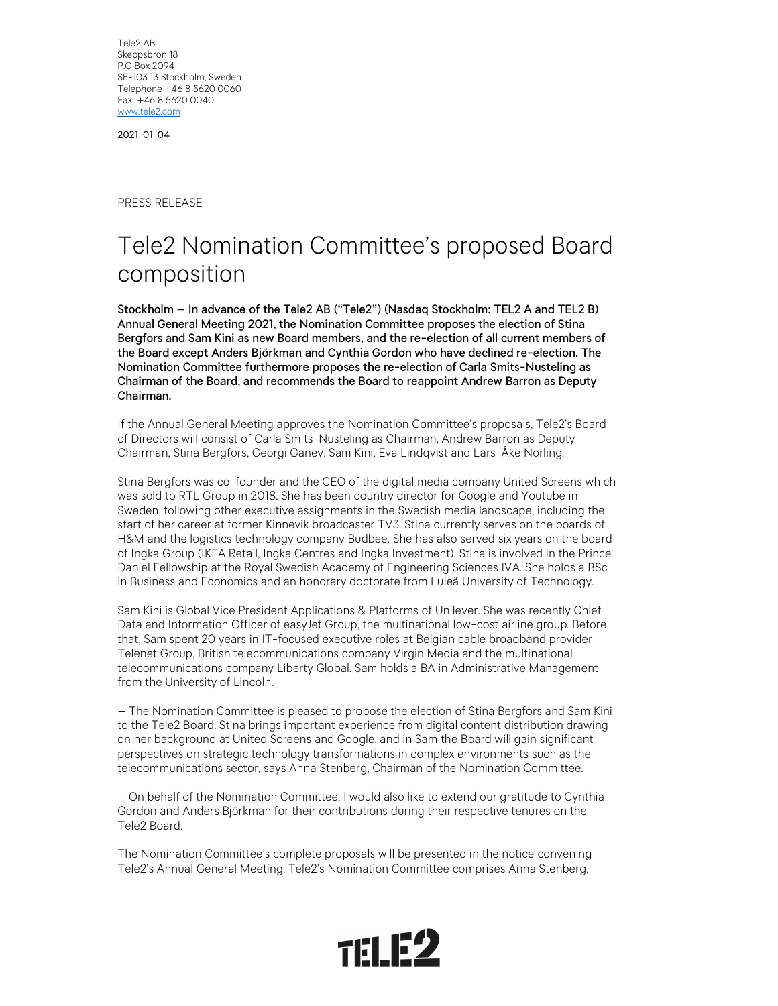Tele2 AB Skeppsbron 18 P.O Box 2094 SE-103 13 Stockholm, Sweden Telephone +46 8 5620 0060 Fax: +46 8 5620 0040 www.tele2.com

2021-01-04

PRESS RELEASE

## Tele2 Nomination Committee's proposed Board composition

Stockholm – In advance of the Tele2 AB ("Tele2") (Nasdaq Stockholm: TEL2 A and TEL2 B) Annual General Meeting 2021, the Nomination Committee proposes the election of Stina Bergfors and Sam Kini as new Board members, and the re-election of all current members of the Board except Anders Björkman and Cynthia Gordon who have declined re-election. The Nomination Committee furthermore proposes the re-election of Carla Smits-Nusteling as Chairman of the Board, and recommends the Board to reappoint Andrew Barron as Deputy Chairman.

 If the Annual General Meeting approves the Nomination Committee's proposals, Tele2's Board of Directors will consist of Carla Smits-Nusteling as Chairman, Andrew Barron as Deputy Chairman, Stina Bergfors, Georgi Ganev, Sam Kini, Eva Lindqvist and Lars-Åke Norling.

 Stina Bergfors was co-founder and the CEO of the digital media company United Screens which was sold to RTL Group in 2018. She has been country director for Google and Youtube in Sweden, following other executive assignments in the Swedish media landscape, including the start of her career at former Kinnevik broadcaster TV3. Stina currently serves on the boards of H&M and the logistics technology company Budbee. She has also served six years on the board of Ingka Group (IKEA Retail, Ingka Centres and Ingka Investment). Stina is involved in the Prince Daniel Fellowship at the Royal Swedish Academy of Engineering Sciences IVA. She holds a BSc in Business and Economics and an honorary doctorate from Luleå University of Technology.

Sam Kini is Global Vice President Applications & Platforms of Unilever. She was recently Chief Data and Information Officer of easyJet Group, the multinational low-cost airline group. Before that, Sam spent 20 years in IT-focused executive roles at Belgian cable broadband provider Telenet Group, British telecommunications company Virgin Media and the multinational telecommunications company Liberty Global. Sam holds a BA in Administrative Management from the University of Lincoln.

 – The Nomination Committee is pleased to propose the election of Stina Bergfors and Sam Kini to the Tele2 Board. Stina brings important experience from digital content distribution drawing on her background at United Screens and Google, and in Sam the Board will gain significant perspectives on strategic technology transformations in complex environments such as the telecommunications sector, says Anna Stenberg, Chairman of the Nomination Committee.

 – On behalf of the Nomination Committee, I would also like to extend our gratitude to Cynthia Gordon and Anders Björkman for their contributions during their respective tenures on the Tele2 Board.

 The Nomination Committee's complete proposals will be presented in the notice convening Tele2's Annual General Meeting. Tele2's Nomination Committee comprises Anna Stenberg,